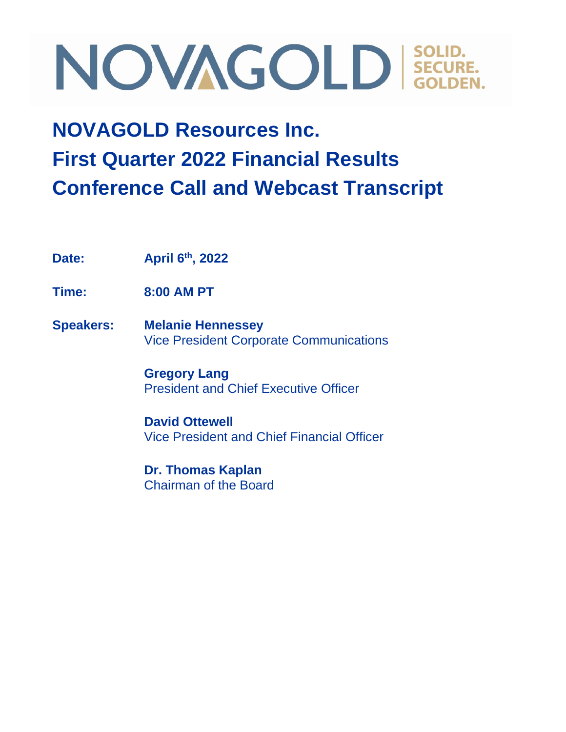### **NOVAGOLD Resources Inc. First Quarter 2022 Financial Results Conference Call and Webcast Transcript**

**Date: April 6th, 2022**

**Time: 8:00 AM PT**

**Speakers: Melanie Hennessey** Vice President Corporate Communications

> **Gregory Lang** President and Chief Executive Officer

**David Ottewell** Vice President and Chief Financial Officer

**Dr. Thomas Kaplan** Chairman of the Board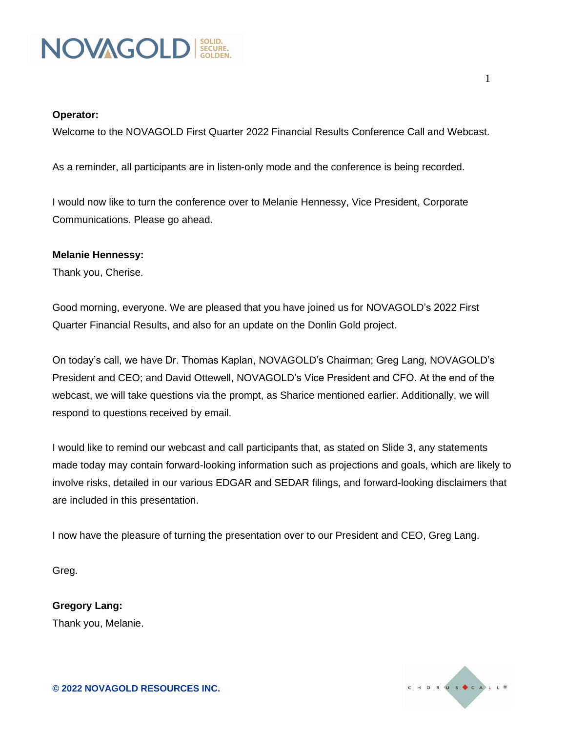

#### **Operator:**

Welcome to the NOVAGOLD First Quarter 2022 Financial Results Conference Call and Webcast.

As a reminder, all participants are in listen-only mode and the conference is being recorded.

I would now like to turn the conference over to Melanie Hennessy, Vice President, Corporate Communications. Please go ahead.

#### **Melanie Hennessy:**

Thank you, Cherise.

Good morning, everyone. We are pleased that you have joined us for NOVAGOLD's 2022 First Quarter Financial Results, and also for an update on the Donlin Gold project.

On today's call, we have Dr. Thomas Kaplan, NOVAGOLD's Chairman; Greg Lang, NOVAGOLD's President and CEO; and David Ottewell, NOVAGOLD's Vice President and CFO. At the end of the webcast, we will take questions via the prompt, as Sharice mentioned earlier. Additionally, we will respond to questions received by email.

I would like to remind our webcast and call participants that, as stated on Slide 3, any statements made today may contain forward-looking information such as projections and goals, which are likely to involve risks, detailed in our various EDGAR and SEDAR filings, and forward-looking disclaimers that are included in this presentation.

I now have the pleasure of turning the presentation over to our President and CEO, Greg Lang.

Greg.

**Gregory Lang:** Thank you, Melanie.

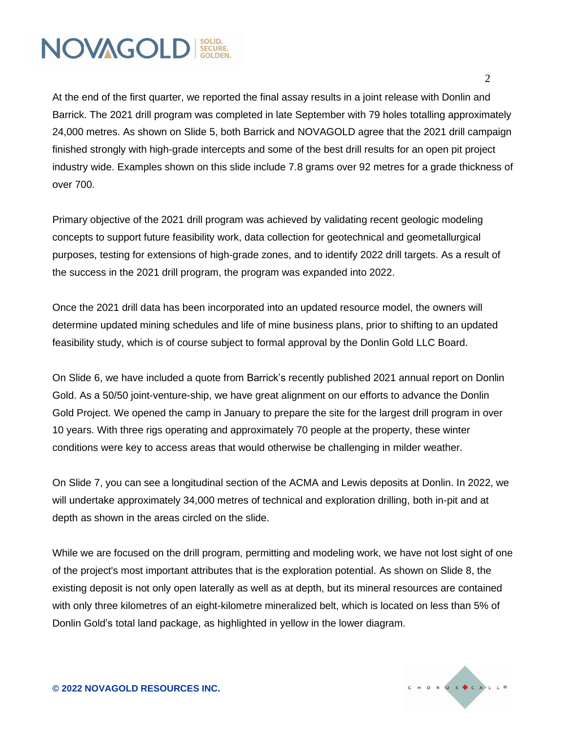At the end of the first quarter, we reported the final assay results in a joint release with Donlin and Barrick. The 2021 drill program was completed in late September with 79 holes totalling approximately 24,000 metres. As shown on Slide 5, both Barrick and NOVAGOLD agree that the 2021 drill campaign finished strongly with high-grade intercepts and some of the best drill results for an open pit project industry wide. Examples shown on this slide include 7.8 grams over 92 metres for a grade thickness of over 700.

Primary objective of the 2021 drill program was achieved by validating recent geologic modeling concepts to support future feasibility work, data collection for geotechnical and geometallurgical purposes, testing for extensions of high-grade zones, and to identify 2022 drill targets. As a result of the success in the 2021 drill program, the program was expanded into 2022.

Once the 2021 drill data has been incorporated into an updated resource model, the owners will determine updated mining schedules and life of mine business plans, prior to shifting to an updated feasibility study, which is of course subject to formal approval by the Donlin Gold LLC Board.

On Slide 6, we have included a quote from Barrick's recently published 2021 annual report on Donlin Gold. As a 50/50 joint-venture-ship, we have great alignment on our efforts to advance the Donlin Gold Project. We opened the camp in January to prepare the site for the largest drill program in over 10 years. With three rigs operating and approximately 70 people at the property, these winter conditions were key to access areas that would otherwise be challenging in milder weather.

On Slide 7, you can see a longitudinal section of the ACMA and Lewis deposits at Donlin. In 2022, we will undertake approximately 34,000 metres of technical and exploration drilling, both in-pit and at depth as shown in the areas circled on the slide.

While we are focused on the drill program, permitting and modeling work, we have not lost sight of one of the project's most important attributes that is the exploration potential. As shown on Slide 8, the existing deposit is not only open laterally as well as at depth, but its mineral resources are contained with only three kilometres of an eight-kilometre mineralized belt, which is located on less than 5% of Donlin Gold's total land package, as highlighted in yellow in the lower diagram.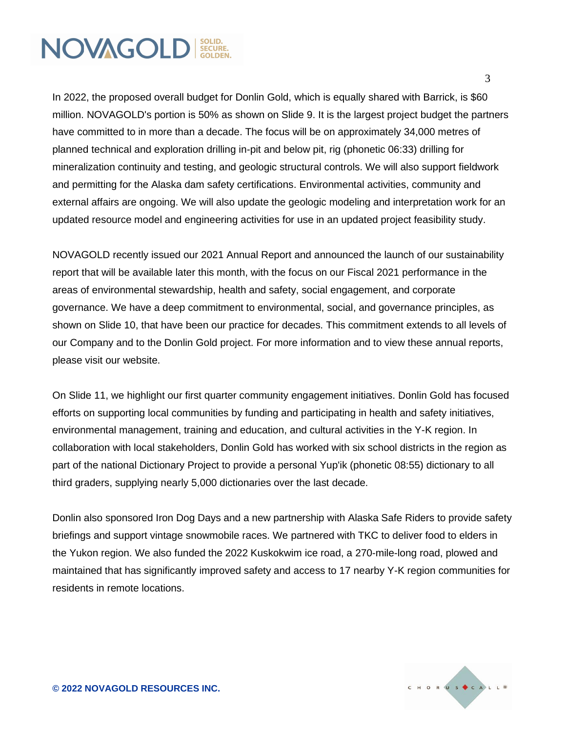In 2022, the proposed overall budget for Donlin Gold, which is equally shared with Barrick, is \$60 million. NOVAGOLD's portion is 50% as shown on Slide 9. It is the largest project budget the partners have committed to in more than a decade. The focus will be on approximately 34,000 metres of planned technical and exploration drilling in-pit and below pit, rig (phonetic 06:33) drilling for mineralization continuity and testing, and geologic structural controls. We will also support fieldwork and permitting for the Alaska dam safety certifications. Environmental activities, community and external affairs are ongoing. We will also update the geologic modeling and interpretation work for an updated resource model and engineering activities for use in an updated project feasibility study.

NOVAGOLD recently issued our 2021 Annual Report and announced the launch of our sustainability report that will be available later this month, with the focus on our Fiscal 2021 performance in the areas of environmental stewardship, health and safety, social engagement, and corporate governance. We have a deep commitment to environmental, social, and governance principles, as shown on Slide 10, that have been our practice for decades. This commitment extends to all levels of our Company and to the Donlin Gold project. For more information and to view these annual reports, please visit our website.

On Slide 11, we highlight our first quarter community engagement initiatives. Donlin Gold has focused efforts on supporting local communities by funding and participating in health and safety initiatives, environmental management, training and education, and cultural activities in the Y-K region. In collaboration with local stakeholders, Donlin Gold has worked with six school districts in the region as part of the national Dictionary Project to provide a personal Yup'ik (phonetic 08:55) dictionary to all third graders, supplying nearly 5,000 dictionaries over the last decade.

Donlin also sponsored Iron Dog Days and a new partnership with Alaska Safe Riders to provide safety briefings and support vintage snowmobile races. We partnered with TKC to deliver food to elders in the Yukon region. We also funded the 2022 Kuskokwim ice road, a 270-mile-long road, plowed and maintained that has significantly improved safety and access to 17 nearby Y-K region communities for residents in remote locations.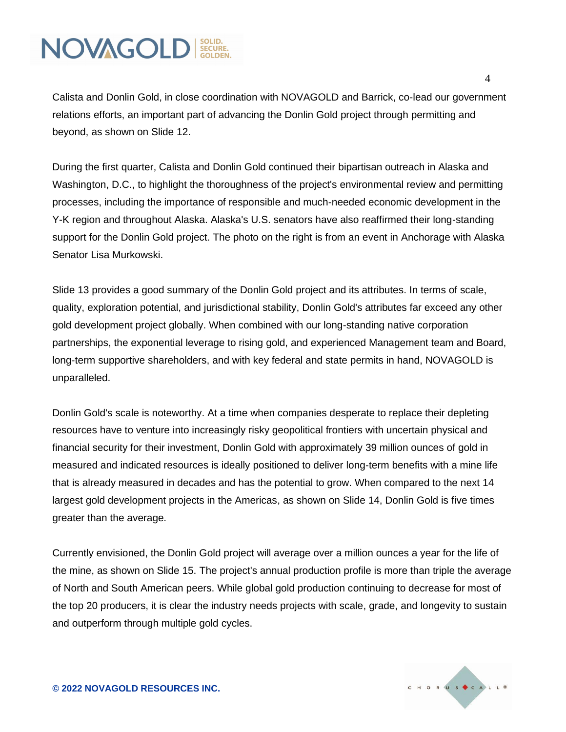Calista and Donlin Gold, in close coordination with NOVAGOLD and Barrick, co-lead our government relations efforts, an important part of advancing the Donlin Gold project through permitting and beyond, as shown on Slide 12.

During the first quarter, Calista and Donlin Gold continued their bipartisan outreach in Alaska and Washington, D.C., to highlight the thoroughness of the project's environmental review and permitting processes, including the importance of responsible and much-needed economic development in the Y-K region and throughout Alaska. Alaska's U.S. senators have also reaffirmed their long-standing support for the Donlin Gold project. The photo on the right is from an event in Anchorage with Alaska Senator Lisa Murkowski.

Slide 13 provides a good summary of the Donlin Gold project and its attributes. In terms of scale, quality, exploration potential, and jurisdictional stability, Donlin Gold's attributes far exceed any other gold development project globally. When combined with our long-standing native corporation partnerships, the exponential leverage to rising gold, and experienced Management team and Board, long-term supportive shareholders, and with key federal and state permits in hand, NOVAGOLD is unparalleled.

Donlin Gold's scale is noteworthy. At a time when companies desperate to replace their depleting resources have to venture into increasingly risky geopolitical frontiers with uncertain physical and financial security for their investment, Donlin Gold with approximately 39 million ounces of gold in measured and indicated resources is ideally positioned to deliver long-term benefits with a mine life that is already measured in decades and has the potential to grow. When compared to the next 14 largest gold development projects in the Americas, as shown on Slide 14, Donlin Gold is five times greater than the average.

Currently envisioned, the Donlin Gold project will average over a million ounces a year for the life of the mine, as shown on Slide 15. The project's annual production profile is more than triple the average of North and South American peers. While global gold production continuing to decrease for most of the top 20 producers, it is clear the industry needs projects with scale, grade, and longevity to sustain and outperform through multiple gold cycles.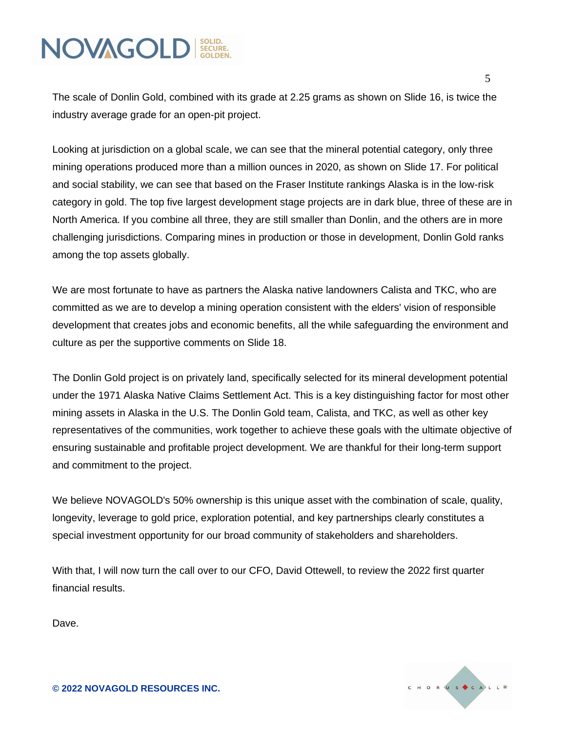The scale of Donlin Gold, combined with its grade at 2.25 grams as shown on Slide 16, is twice the industry average grade for an open-pit project.

Looking at jurisdiction on a global scale, we can see that the mineral potential category, only three mining operations produced more than a million ounces in 2020, as shown on Slide 17. For political and social stability, we can see that based on the Fraser Institute rankings Alaska is in the low-risk category in gold. The top five largest development stage projects are in dark blue, three of these are in North America. If you combine all three, they are still smaller than Donlin, and the others are in more challenging jurisdictions. Comparing mines in production or those in development, Donlin Gold ranks among the top assets globally.

We are most fortunate to have as partners the Alaska native landowners Calista and TKC, who are committed as we are to develop a mining operation consistent with the elders' vision of responsible development that creates jobs and economic benefits, all the while safeguarding the environment and culture as per the supportive comments on Slide 18.

The Donlin Gold project is on privately land, specifically selected for its mineral development potential under the 1971 Alaska Native Claims Settlement Act. This is a key distinguishing factor for most other mining assets in Alaska in the U.S. The Donlin Gold team, Calista, and TKC, as well as other key representatives of the communities, work together to achieve these goals with the ultimate objective of ensuring sustainable and profitable project development. We are thankful for their long-term support and commitment to the project.

We believe NOVAGOLD's 50% ownership is this unique asset with the combination of scale, quality, longevity, leverage to gold price, exploration potential, and key partnerships clearly constitutes a special investment opportunity for our broad community of stakeholders and shareholders.

With that, I will now turn the call over to our CFO, David Ottewell, to review the 2022 first quarter financial results.

Dave.

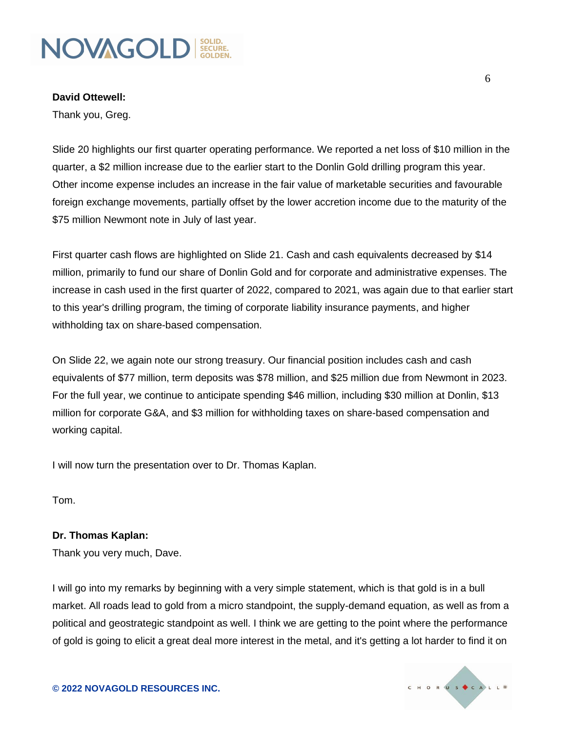**David Ottewell:**

Thank you, Greg.

Slide 20 highlights our first quarter operating performance. We reported a net loss of \$10 million in the quarter, a \$2 million increase due to the earlier start to the Donlin Gold drilling program this year. Other income expense includes an increase in the fair value of marketable securities and favourable foreign exchange movements, partially offset by the lower accretion income due to the maturity of the \$75 million Newmont note in July of last year.

First quarter cash flows are highlighted on Slide 21. Cash and cash equivalents decreased by \$14 million, primarily to fund our share of Donlin Gold and for corporate and administrative expenses. The increase in cash used in the first quarter of 2022, compared to 2021, was again due to that earlier start to this year's drilling program, the timing of corporate liability insurance payments, and higher withholding tax on share-based compensation.

On Slide 22, we again note our strong treasury. Our financial position includes cash and cash equivalents of \$77 million, term deposits was \$78 million, and \$25 million due from Newmont in 2023. For the full year, we continue to anticipate spending \$46 million, including \$30 million at Donlin, \$13 million for corporate G&A, and \$3 million for withholding taxes on share-based compensation and working capital.

I will now turn the presentation over to Dr. Thomas Kaplan.

Tom.

#### **Dr. Thomas Kaplan:**

Thank you very much, Dave.

I will go into my remarks by beginning with a very simple statement, which is that gold is in a bull market. All roads lead to gold from a micro standpoint, the supply-demand equation, as well as from a political and geostrategic standpoint as well. I think we are getting to the point where the performance of gold is going to elicit a great deal more interest in the metal, and it's getting a lot harder to find it on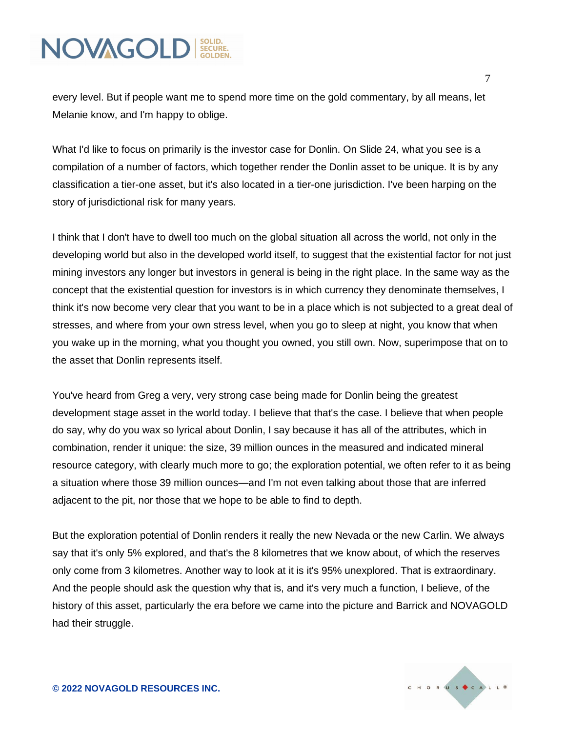every level. But if people want me to spend more time on the gold commentary, by all means, let Melanie know, and I'm happy to oblige.

What I'd like to focus on primarily is the investor case for Donlin. On Slide 24, what you see is a compilation of a number of factors, which together render the Donlin asset to be unique. It is by any classification a tier-one asset, but it's also located in a tier-one jurisdiction. I've been harping on the story of jurisdictional risk for many years.

I think that I don't have to dwell too much on the global situation all across the world, not only in the developing world but also in the developed world itself, to suggest that the existential factor for not just mining investors any longer but investors in general is being in the right place. In the same way as the concept that the existential question for investors is in which currency they denominate themselves, I think it's now become very clear that you want to be in a place which is not subjected to a great deal of stresses, and where from your own stress level, when you go to sleep at night, you know that when you wake up in the morning, what you thought you owned, you still own. Now, superimpose that on to the asset that Donlin represents itself.

You've heard from Greg a very, very strong case being made for Donlin being the greatest development stage asset in the world today. I believe that that's the case. I believe that when people do say, why do you wax so lyrical about Donlin, I say because it has all of the attributes, which in combination, render it unique: the size, 39 million ounces in the measured and indicated mineral resource category, with clearly much more to go; the exploration potential, we often refer to it as being a situation where those 39 million ounces—and I'm not even talking about those that are inferred adjacent to the pit, nor those that we hope to be able to find to depth.

But the exploration potential of Donlin renders it really the new Nevada or the new Carlin. We always say that it's only 5% explored, and that's the 8 kilometres that we know about, of which the reserves only come from 3 kilometres. Another way to look at it is it's 95% unexplored. That is extraordinary. And the people should ask the question why that is, and it's very much a function, I believe, of the history of this asset, particularly the era before we came into the picture and Barrick and NOVAGOLD had their struggle.

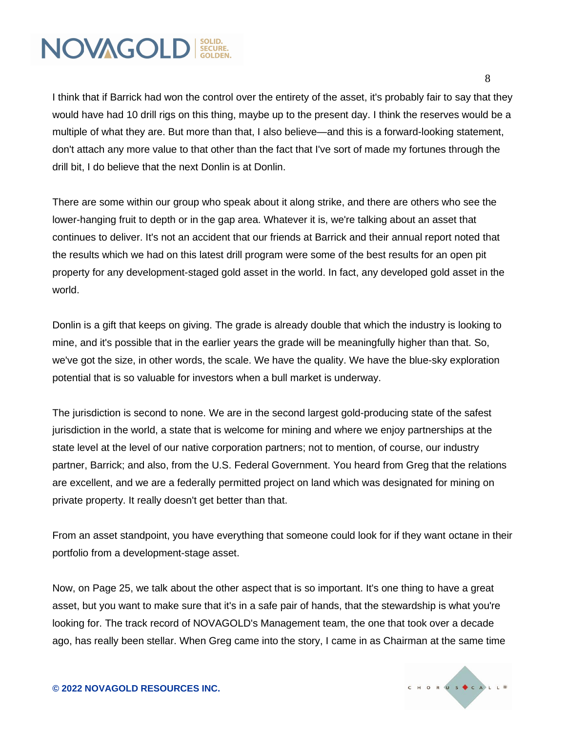I think that if Barrick had won the control over the entirety of the asset, it's probably fair to say that they would have had 10 drill rigs on this thing, maybe up to the present day. I think the reserves would be a multiple of what they are. But more than that, I also believe—and this is a forward-looking statement, don't attach any more value to that other than the fact that I've sort of made my fortunes through the drill bit, I do believe that the next Donlin is at Donlin.

There are some within our group who speak about it along strike, and there are others who see the lower-hanging fruit to depth or in the gap area. Whatever it is, we're talking about an asset that continues to deliver. It's not an accident that our friends at Barrick and their annual report noted that the results which we had on this latest drill program were some of the best results for an open pit property for any development-staged gold asset in the world. In fact, any developed gold asset in the world.

Donlin is a gift that keeps on giving. The grade is already double that which the industry is looking to mine, and it's possible that in the earlier years the grade will be meaningfully higher than that. So, we've got the size, in other words, the scale. We have the quality. We have the blue-sky exploration potential that is so valuable for investors when a bull market is underway.

The jurisdiction is second to none. We are in the second largest gold-producing state of the safest jurisdiction in the world, a state that is welcome for mining and where we enjoy partnerships at the state level at the level of our native corporation partners; not to mention, of course, our industry partner, Barrick; and also, from the U.S. Federal Government. You heard from Greg that the relations are excellent, and we are a federally permitted project on land which was designated for mining on private property. It really doesn't get better than that.

From an asset standpoint, you have everything that someone could look for if they want octane in their portfolio from a development-stage asset.

Now, on Page 25, we talk about the other aspect that is so important. It's one thing to have a great asset, but you want to make sure that it's in a safe pair of hands, that the stewardship is what you're looking for. The track record of NOVAGOLD's Management team, the one that took over a decade ago, has really been stellar. When Greg came into the story, I came in as Chairman at the same time

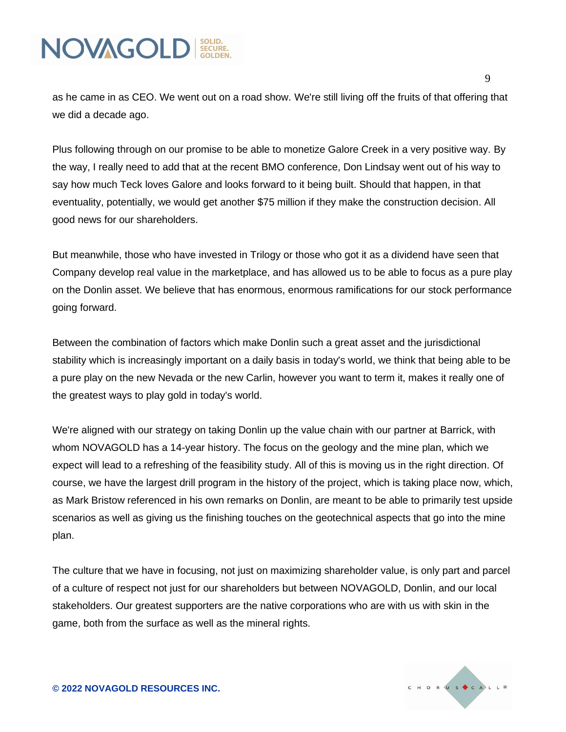as he came in as CEO. We went out on a road show. We're still living off the fruits of that offering that we did a decade ago.

Plus following through on our promise to be able to monetize Galore Creek in a very positive way. By the way, I really need to add that at the recent BMO conference, Don Lindsay went out of his way to say how much Teck loves Galore and looks forward to it being built. Should that happen, in that eventuality, potentially, we would get another \$75 million if they make the construction decision. All good news for our shareholders.

But meanwhile, those who have invested in Trilogy or those who got it as a dividend have seen that Company develop real value in the marketplace, and has allowed us to be able to focus as a pure play on the Donlin asset. We believe that has enormous, enormous ramifications for our stock performance going forward.

Between the combination of factors which make Donlin such a great asset and the jurisdictional stability which is increasingly important on a daily basis in today's world, we think that being able to be a pure play on the new Nevada or the new Carlin, however you want to term it, makes it really one of the greatest ways to play gold in today's world.

We're aligned with our strategy on taking Donlin up the value chain with our partner at Barrick, with whom NOVAGOLD has a 14-year history. The focus on the geology and the mine plan, which we expect will lead to a refreshing of the feasibility study. All of this is moving us in the right direction. Of course, we have the largest drill program in the history of the project, which is taking place now, which, as Mark Bristow referenced in his own remarks on Donlin, are meant to be able to primarily test upside scenarios as well as giving us the finishing touches on the geotechnical aspects that go into the mine plan.

The culture that we have in focusing, not just on maximizing shareholder value, is only part and parcel of a culture of respect not just for our shareholders but between NOVAGOLD, Donlin, and our local stakeholders. Our greatest supporters are the native corporations who are with us with skin in the game, both from the surface as well as the mineral rights.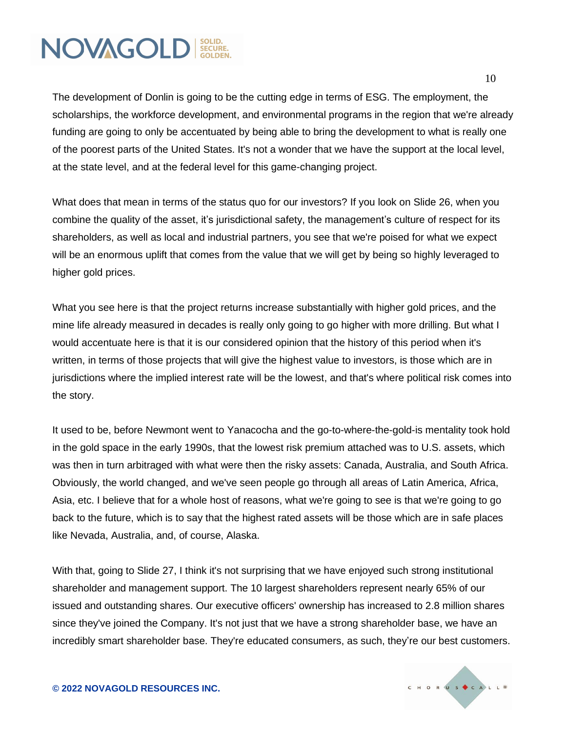The development of Donlin is going to be the cutting edge in terms of ESG. The employment, the scholarships, the workforce development, and environmental programs in the region that we're already funding are going to only be accentuated by being able to bring the development to what is really one of the poorest parts of the United States. It's not a wonder that we have the support at the local level, at the state level, and at the federal level for this game-changing project.

What does that mean in terms of the status quo for our investors? If you look on Slide 26, when you combine the quality of the asset, it's jurisdictional safety, the management's culture of respect for its shareholders, as well as local and industrial partners, you see that we're poised for what we expect will be an enormous uplift that comes from the value that we will get by being so highly leveraged to higher gold prices.

What you see here is that the project returns increase substantially with higher gold prices, and the mine life already measured in decades is really only going to go higher with more drilling. But what I would accentuate here is that it is our considered opinion that the history of this period when it's written, in terms of those projects that will give the highest value to investors, is those which are in jurisdictions where the implied interest rate will be the lowest, and that's where political risk comes into the story.

It used to be, before Newmont went to Yanacocha and the go-to-where-the-gold-is mentality took hold in the gold space in the early 1990s, that the lowest risk premium attached was to U.S. assets, which was then in turn arbitraged with what were then the risky assets: Canada, Australia, and South Africa. Obviously, the world changed, and we've seen people go through all areas of Latin America, Africa, Asia, etc. I believe that for a whole host of reasons, what we're going to see is that we're going to go back to the future, which is to say that the highest rated assets will be those which are in safe places like Nevada, Australia, and, of course, Alaska.

With that, going to Slide 27, I think it's not surprising that we have enjoyed such strong institutional shareholder and management support. The 10 largest shareholders represent nearly 65% of our issued and outstanding shares. Our executive officers' ownership has increased to 2.8 million shares since they've joined the Company. It's not just that we have a strong shareholder base, we have an incredibly smart shareholder base. They're educated consumers, as such, they're our best customers.

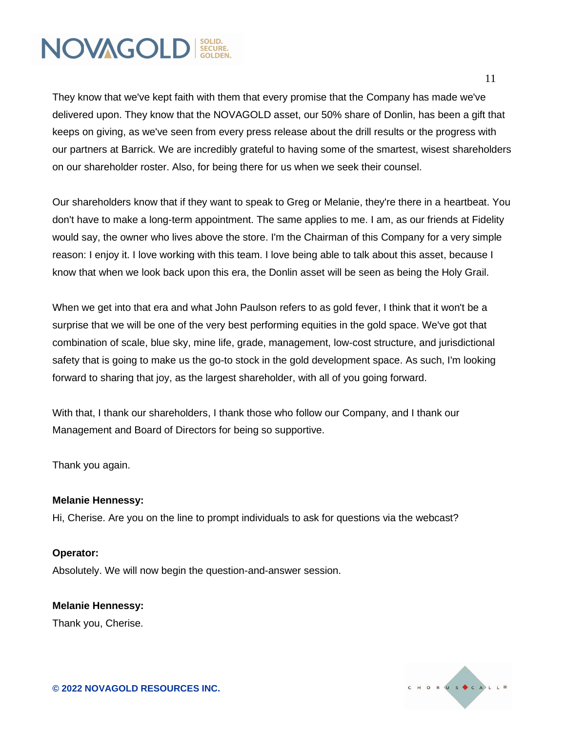They know that we've kept faith with them that every promise that the Company has made we've delivered upon. They know that the NOVAGOLD asset, our 50% share of Donlin, has been a gift that keeps on giving, as we've seen from every press release about the drill results or the progress with our partners at Barrick. We are incredibly grateful to having some of the smartest, wisest shareholders on our shareholder roster. Also, for being there for us when we seek their counsel.

Our shareholders know that if they want to speak to Greg or Melanie, they're there in a heartbeat. You don't have to make a long-term appointment. The same applies to me. I am, as our friends at Fidelity would say, the owner who lives above the store. I'm the Chairman of this Company for a very simple reason: I enjoy it. I love working with this team. I love being able to talk about this asset, because I know that when we look back upon this era, the Donlin asset will be seen as being the Holy Grail.

When we get into that era and what John Paulson refers to as gold fever, I think that it won't be a surprise that we will be one of the very best performing equities in the gold space. We've got that combination of scale, blue sky, mine life, grade, management, low-cost structure, and jurisdictional safety that is going to make us the go-to stock in the gold development space. As such, I'm looking forward to sharing that joy, as the largest shareholder, with all of you going forward.

With that, I thank our shareholders, I thank those who follow our Company, and I thank our Management and Board of Directors for being so supportive.

Thank you again.

#### **Melanie Hennessy:**

Hi, Cherise. Are you on the line to prompt individuals to ask for questions via the webcast?

#### **Operator:**

Absolutely. We will now begin the question-and-answer session.

#### **Melanie Hennessy:** Thank you, Cherise.

CHORUS CALL®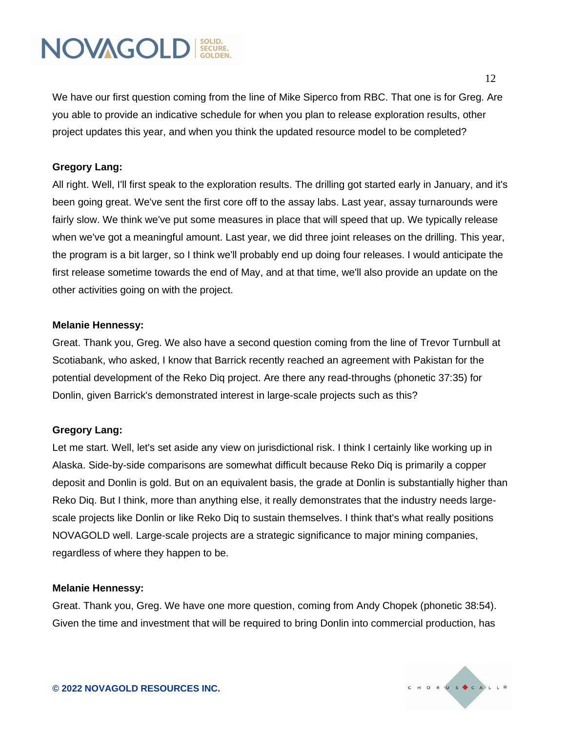We have our first question coming from the line of Mike Siperco from RBC. That one is for Greg. Are you able to provide an indicative schedule for when you plan to release exploration results, other project updates this year, and when you think the updated resource model to be completed?

#### **Gregory Lang:**

All right. Well, I'll first speak to the exploration results. The drilling got started early in January, and it's been going great. We've sent the first core off to the assay labs. Last year, assay turnarounds were fairly slow. We think we've put some measures in place that will speed that up. We typically release when we've got a meaningful amount. Last year, we did three joint releases on the drilling. This year, the program is a bit larger, so I think we'll probably end up doing four releases. I would anticipate the first release sometime towards the end of May, and at that time, we'll also provide an update on the other activities going on with the project.

#### **Melanie Hennessy:**

Great. Thank you, Greg. We also have a second question coming from the line of Trevor Turnbull at Scotiabank, who asked, I know that Barrick recently reached an agreement with Pakistan for the potential development of the Reko Diq project. Are there any read-throughs (phonetic 37:35) for Donlin, given Barrick's demonstrated interest in large-scale projects such as this?

#### **Gregory Lang:**

Let me start. Well, let's set aside any view on jurisdictional risk. I think I certainly like working up in Alaska. Side-by-side comparisons are somewhat difficult because Reko Diq is primarily a copper deposit and Donlin is gold. But on an equivalent basis, the grade at Donlin is substantially higher than Reko Diq. But I think, more than anything else, it really demonstrates that the industry needs largescale projects like Donlin or like Reko Diq to sustain themselves. I think that's what really positions NOVAGOLD well. Large-scale projects are a strategic significance to major mining companies, regardless of where they happen to be.

#### **Melanie Hennessy:**

Great. Thank you, Greg. We have one more question, coming from Andy Chopek (phonetic 38:54). Given the time and investment that will be required to bring Donlin into commercial production, has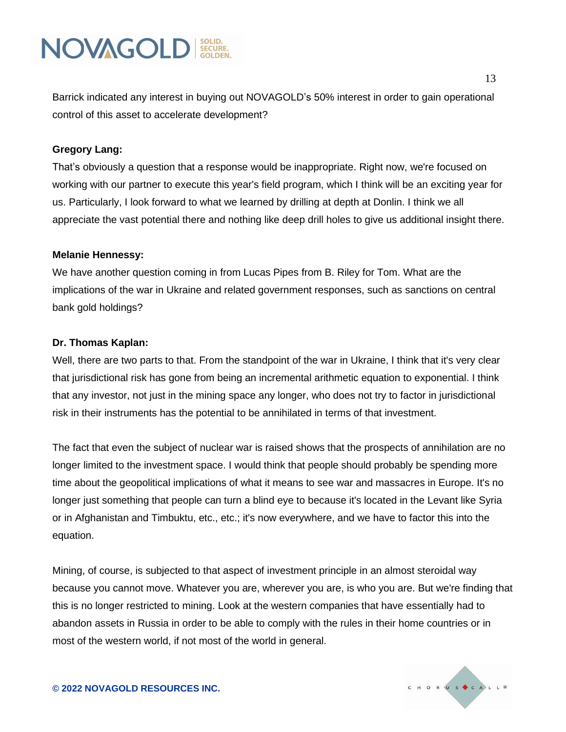Barrick indicated any interest in buying out NOVAGOLD's 50% interest in order to gain operational control of this asset to accelerate development?

#### **Gregory Lang:**

That's obviously a question that a response would be inappropriate. Right now, we're focused on working with our partner to execute this year's field program, which I think will be an exciting year for us. Particularly, I look forward to what we learned by drilling at depth at Donlin. I think we all appreciate the vast potential there and nothing like deep drill holes to give us additional insight there.

#### **Melanie Hennessy:**

We have another question coming in from Lucas Pipes from B. Riley for Tom. What are the implications of the war in Ukraine and related government responses, such as sanctions on central bank gold holdings?

#### **Dr. Thomas Kaplan:**

Well, there are two parts to that. From the standpoint of the war in Ukraine, I think that it's very clear that jurisdictional risk has gone from being an incremental arithmetic equation to exponential. I think that any investor, not just in the mining space any longer, who does not try to factor in jurisdictional risk in their instruments has the potential to be annihilated in terms of that investment.

The fact that even the subject of nuclear war is raised shows that the prospects of annihilation are no longer limited to the investment space. I would think that people should probably be spending more time about the geopolitical implications of what it means to see war and massacres in Europe. It's no longer just something that people can turn a blind eye to because it's located in the Levant like Syria or in Afghanistan and Timbuktu, etc., etc.; it's now everywhere, and we have to factor this into the equation.

Mining, of course, is subjected to that aspect of investment principle in an almost steroidal way because you cannot move. Whatever you are, wherever you are, is who you are. But we're finding that this is no longer restricted to mining. Look at the western companies that have essentially had to abandon assets in Russia in order to be able to comply with the rules in their home countries or in most of the western world, if not most of the world in general.

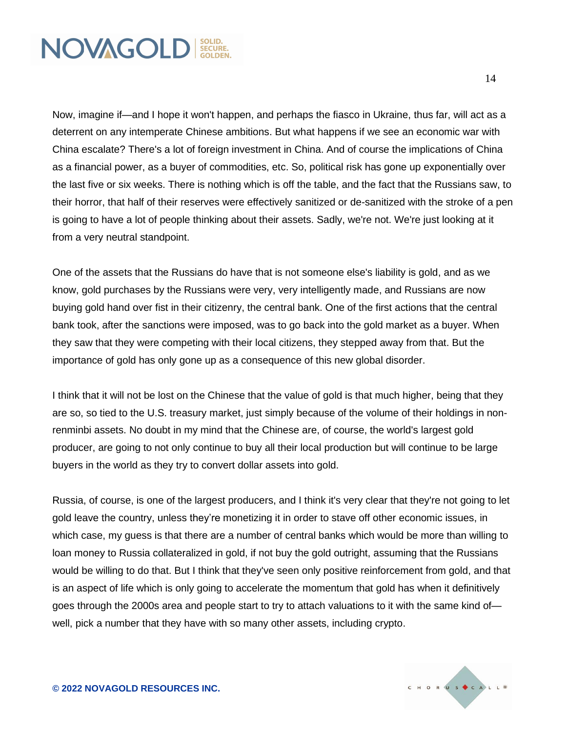Now, imagine if—and I hope it won't happen, and perhaps the fiasco in Ukraine, thus far, will act as a deterrent on any intemperate Chinese ambitions. But what happens if we see an economic war with China escalate? There's a lot of foreign investment in China. And of course the implications of China as a financial power, as a buyer of commodities, etc. So, political risk has gone up exponentially over the last five or six weeks. There is nothing which is off the table, and the fact that the Russians saw, to their horror, that half of their reserves were effectively sanitized or de-sanitized with the stroke of a pen is going to have a lot of people thinking about their assets. Sadly, we're not. We're just looking at it from a very neutral standpoint.

One of the assets that the Russians do have that is not someone else's liability is gold, and as we know, gold purchases by the Russians were very, very intelligently made, and Russians are now buying gold hand over fist in their citizenry, the central bank. One of the first actions that the central bank took, after the sanctions were imposed, was to go back into the gold market as a buyer. When they saw that they were competing with their local citizens, they stepped away from that. But the importance of gold has only gone up as a consequence of this new global disorder.

I think that it will not be lost on the Chinese that the value of gold is that much higher, being that they are so, so tied to the U.S. treasury market, just simply because of the volume of their holdings in nonrenminbi assets. No doubt in my mind that the Chinese are, of course, the world's largest gold producer, are going to not only continue to buy all their local production but will continue to be large buyers in the world as they try to convert dollar assets into gold.

Russia, of course, is one of the largest producers, and I think it's very clear that they're not going to let gold leave the country, unless they're monetizing it in order to stave off other economic issues, in which case, my guess is that there are a number of central banks which would be more than willing to loan money to Russia collateralized in gold, if not buy the gold outright, assuming that the Russians would be willing to do that. But I think that they've seen only positive reinforcement from gold, and that is an aspect of life which is only going to accelerate the momentum that gold has when it definitively goes through the 2000s area and people start to try to attach valuations to it with the same kind of well, pick a number that they have with so many other assets, including crypto.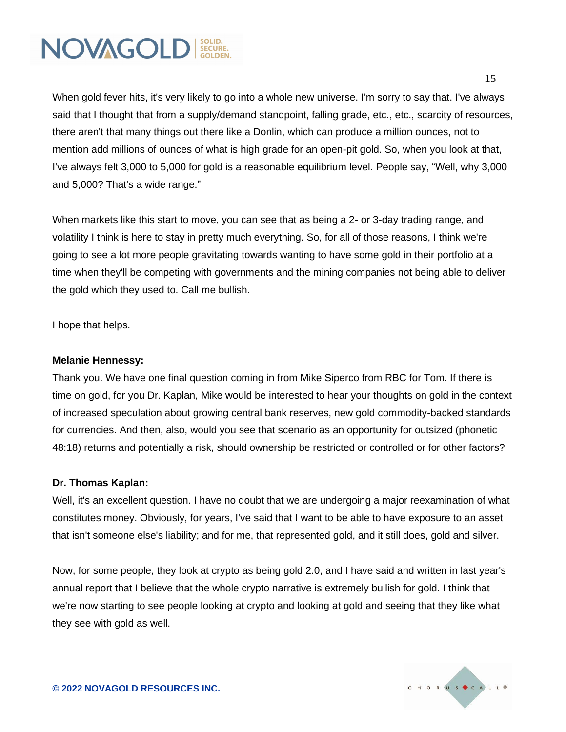When gold fever hits, it's very likely to go into a whole new universe. I'm sorry to say that. I've always said that I thought that from a supply/demand standpoint, falling grade, etc., etc., scarcity of resources, there aren't that many things out there like a Donlin, which can produce a million ounces, not to mention add millions of ounces of what is high grade for an open-pit gold. So, when you look at that, I've always felt 3,000 to 5,000 for gold is a reasonable equilibrium level. People say, "Well, why 3,000 and 5,000? That's a wide range."

When markets like this start to move, you can see that as being a 2- or 3-day trading range, and volatility I think is here to stay in pretty much everything. So, for all of those reasons, I think we're going to see a lot more people gravitating towards wanting to have some gold in their portfolio at a time when they'll be competing with governments and the mining companies not being able to deliver the gold which they used to. Call me bullish.

I hope that helps.

#### **Melanie Hennessy:**

Thank you. We have one final question coming in from Mike Siperco from RBC for Tom. If there is time on gold, for you Dr. Kaplan, Mike would be interested to hear your thoughts on gold in the context of increased speculation about growing central bank reserves, new gold commodity-backed standards for currencies. And then, also, would you see that scenario as an opportunity for outsized (phonetic 48:18) returns and potentially a risk, should ownership be restricted or controlled or for other factors?

#### **Dr. Thomas Kaplan:**

Well, it's an excellent question. I have no doubt that we are undergoing a major reexamination of what constitutes money. Obviously, for years, I've said that I want to be able to have exposure to an asset that isn't someone else's liability; and for me, that represented gold, and it still does, gold and silver.

Now, for some people, they look at crypto as being gold 2.0, and I have said and written in last year's annual report that I believe that the whole crypto narrative is extremely bullish for gold. I think that we're now starting to see people looking at crypto and looking at gold and seeing that they like what they see with gold as well.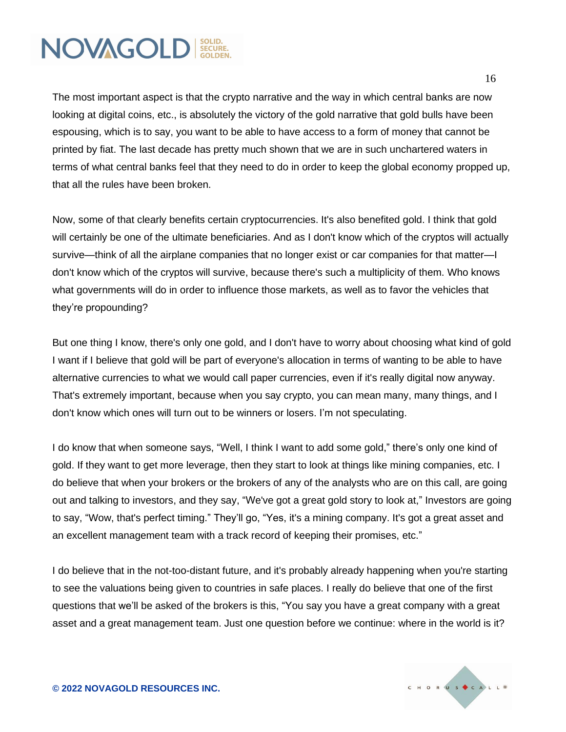The most important aspect is that the crypto narrative and the way in which central banks are now looking at digital coins, etc., is absolutely the victory of the gold narrative that gold bulls have been espousing, which is to say, you want to be able to have access to a form of money that cannot be printed by fiat. The last decade has pretty much shown that we are in such unchartered waters in terms of what central banks feel that they need to do in order to keep the global economy propped up, that all the rules have been broken.

Now, some of that clearly benefits certain cryptocurrencies. It's also benefited gold. I think that gold will certainly be one of the ultimate beneficiaries. And as I don't know which of the cryptos will actually survive—think of all the airplane companies that no longer exist or car companies for that matter—I don't know which of the cryptos will survive, because there's such a multiplicity of them. Who knows what governments will do in order to influence those markets, as well as to favor the vehicles that they're propounding?

But one thing I know, there's only one gold, and I don't have to worry about choosing what kind of gold I want if I believe that gold will be part of everyone's allocation in terms of wanting to be able to have alternative currencies to what we would call paper currencies, even if it's really digital now anyway. That's extremely important, because when you say crypto, you can mean many, many things, and I don't know which ones will turn out to be winners or losers. I'm not speculating.

I do know that when someone says, "Well, I think I want to add some gold," there's only one kind of gold. If they want to get more leverage, then they start to look at things like mining companies, etc. I do believe that when your brokers or the brokers of any of the analysts who are on this call, are going out and talking to investors, and they say, "We've got a great gold story to look at," Investors are going to say, "Wow, that's perfect timing." They'll go, "Yes, it's a mining company. It's got a great asset and an excellent management team with a track record of keeping their promises, etc."

I do believe that in the not-too-distant future, and it's probably already happening when you're starting to see the valuations being given to countries in safe places. I really do believe that one of the first questions that we'll be asked of the brokers is this, "You say you have a great company with a great asset and a great management team. Just one question before we continue: where in the world is it?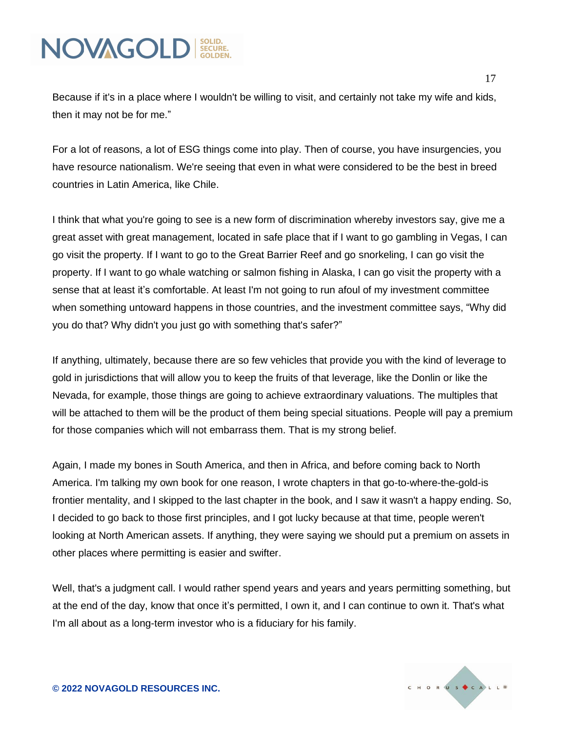Because if it's in a place where I wouldn't be willing to visit, and certainly not take my wife and kids, then it may not be for me."

For a lot of reasons, a lot of ESG things come into play. Then of course, you have insurgencies, you have resource nationalism. We're seeing that even in what were considered to be the best in breed countries in Latin America, like Chile.

I think that what you're going to see is a new form of discrimination whereby investors say, give me a great asset with great management, located in safe place that if I want to go gambling in Vegas, I can go visit the property. If I want to go to the Great Barrier Reef and go snorkeling, I can go visit the property. If I want to go whale watching or salmon fishing in Alaska, I can go visit the property with a sense that at least it's comfortable. At least I'm not going to run afoul of my investment committee when something untoward happens in those countries, and the investment committee says, "Why did you do that? Why didn't you just go with something that's safer?"

If anything, ultimately, because there are so few vehicles that provide you with the kind of leverage to gold in jurisdictions that will allow you to keep the fruits of that leverage, like the Donlin or like the Nevada, for example, those things are going to achieve extraordinary valuations. The multiples that will be attached to them will be the product of them being special situations. People will pay a premium for those companies which will not embarrass them. That is my strong belief.

Again, I made my bones in South America, and then in Africa, and before coming back to North America. I'm talking my own book for one reason, I wrote chapters in that go-to-where-the-gold-is frontier mentality, and I skipped to the last chapter in the book, and I saw it wasn't a happy ending. So, I decided to go back to those first principles, and I got lucky because at that time, people weren't looking at North American assets. If anything, they were saying we should put a premium on assets in other places where permitting is easier and swifter.

Well, that's a judgment call. I would rather spend years and years and years permitting something, but at the end of the day, know that once it's permitted, I own it, and I can continue to own it. That's what I'm all about as a long-term investor who is a fiduciary for his family.